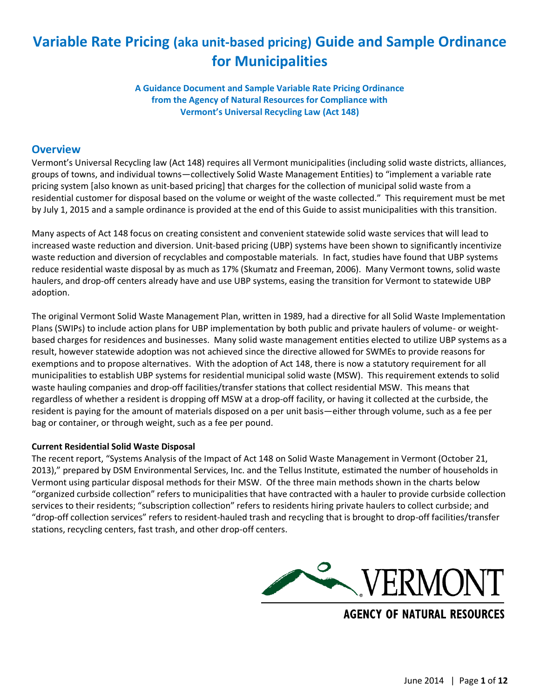# **Variable Rate Pricing (aka unit-based pricing) Guide and Sample Ordinance for Municipalities**

**A Guidance Document and Sample Variable Rate Pricing Ordinance from the Agency of Natural Resources for Compliance with Vermont's Universal Recycling Law (Act 148)**

## **Overview**

Vermont's Universal Recycling law (Act 148) requires all Vermont municipalities (including solid waste districts, alliances, groups of towns, and individual towns—collectively Solid Waste Management Entities) to "implement a variable rate pricing system [also known as unit-based pricing] that charges for the collection of municipal solid waste from a residential customer for disposal based on the volume or weight of the waste collected." This requirement must be met by July 1, 2015 and a sample ordinance is provided at the end of this Guide to assist municipalities with this transition.

Many aspects of Act 148 focus on creating consistent and convenient statewide solid waste services that will lead to increased waste reduction and diversion. Unit-based pricing (UBP) systems have been shown to significantly incentivize waste reduction and diversion of recyclables and compostable materials. In fact, studies have found that UBP systems reduce residential waste disposal by as much as 17% (Skumatz and Freeman, 2006). Many Vermont towns, solid waste haulers, and drop-off centers already have and use UBP systems, easing the transition for Vermont to statewide UBP adoption.

The original Vermont Solid Waste Management Plan, written in 1989, had a directive for all Solid Waste Implementation Plans (SWIPs) to include action plans for UBP implementation by both public and private haulers of volume- or weightbased charges for residences and businesses. Many solid waste management entities elected to utilize UBP systems as a result, however statewide adoption was not achieved since the directive allowed for SWMEs to provide reasons for exemptions and to propose alternatives. With the adoption of Act 148, there is now a statutory requirement for all municipalities to establish UBP systems for residential municipal solid waste (MSW). This requirement extends to solid waste hauling companies and drop-off facilities/transfer stations that collect residential MSW. This means that regardless of whether a resident is dropping off MSW at a drop-off facility, or having it collected at the curbside, the resident is paying for the amount of materials disposed on a per unit basis—either through volume, such as a fee per bag or container, or through weight, such as a fee per pound.

#### **Current Residential Solid Waste Disposal**

The recent report, "Systems Analysis of the Impact of Act 148 on Solid Waste Management in Vermont (October 21, 2013)," prepared by DSM Environmental Services, Inc. and the Tellus Institute, estimated the number of households in Vermont using particular disposal methods for their MSW. Of the three main methods shown in the charts below "organized curbside collection" refers to municipalities that have contracted with a hauler to provide curbside collection services to their residents; "subscription collection" refers to residents hiring private haulers to collect curbside; and "drop-off collection services" refers to resident-hauled trash and recycling that is brought to drop-off facilities/transfer stations, recycling centers, fast trash, and other drop-off centers.



**AGENCY OF NATURAL RESOURCES**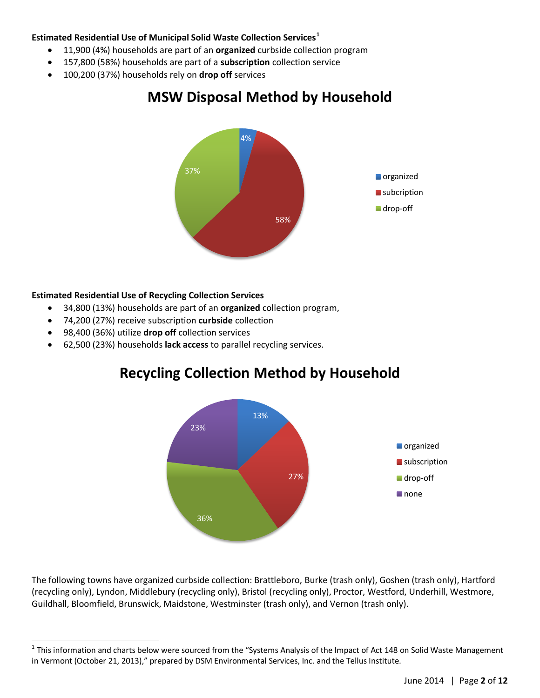### **Estimated Residential Use of Municipal Solid Waste Collection Services<sup>1</sup>**

- x 11,900 (4%) households are part of an **organized** curbside collection program
- x 157,800 (58%) households are part of a **subscription** collection service
- x 100,200 (37%) households rely on **drop off** services

# **MSW Disposal Method by Household**



## **Estimated Residential Use of Recycling Collection Services**

- x 34,800 (13%) households are part of an **organized** collection program,
- x 74,200 (27%) receive subscription **curbside** collection
- **•** 98,400 (36%) utilize **drop off** collection services
- x 62,500 (23%) households **lack access** to parallel recycling services.

# **Recycling Collection Method by Household**



The following towns have organized curbside collection: Brattleboro, Burke (trash only), Goshen (trash only), Hartford (recycling only), Lyndon, Middlebury (recycling only), Bristol (recycling only), Proctor, Westford, Underhill, Westmore, Guildhall, Bloomfield, Brunswick, Maidstone, Westminster (trash only), and Vernon (trash only).

 $1$  This information and charts below were sourced from the "Systems Analysis of the Impact of Act 148 on Solid Waste Management in Vermont (October 21, 2013)," prepared by DSM Environmental Services, Inc. and the Tellus Institute.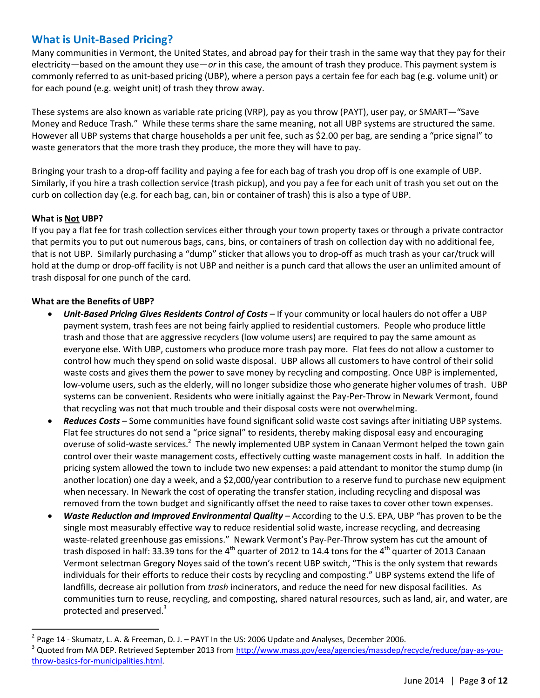## **What is Unit-Based Pricing?**

Many communities in Vermont, the United States, and abroad pay for their trash in the same way that they pay for their electricity—based on the amount they use—*or* in this case, the amount of trash they produce. This payment system is commonly referred to as unit-based pricing (UBP), where a person pays a certain fee for each bag (e.g. volume unit) or for each pound (e.g. weight unit) of trash they throw away.

These systems are also known as variable rate pricing (VRP), pay as you throw (PAYT), user pay, or SMART—"Save Money and Reduce Trash." While these terms share the same meaning, not all UBP systems are structured the same. However all UBP systems that charge households a per unit fee, such as \$2.00 per bag, are sending a "price signal" to waste generators that the more trash they produce, the more they will have to pay.

Bringing your trash to a drop-off facility and paying a fee for each bag of trash you drop off is one example of UBP. Similarly, if you hire a trash collection service (trash pickup), and you pay a fee for each unit of trash you set out on the curb on collection day (e.g. for each bag, can, bin or container of trash) this is also a type of UBP.

### **What is Not UBP?**

If you pay a flat fee for trash collection services either through your town property taxes or through a private contractor that permits you to put out numerous bags, cans, bins, or containers of trash on collection day with no additional fee, that is not UBP. Similarly purchasing a "dump" sticker that allows you to drop-off as much trash as your car/truck will hold at the dump or drop-off facility is not UBP and neither is a punch card that allows the user an unlimited amount of trash disposal for one punch of the card.

#### **What are the Benefits of UBP?**

- **Unit-Based Pricing Gives Residents Control of Costs** If your community or local haulers do not offer a UBP payment system, trash fees are not being fairly applied to residential customers. People who produce little trash and those that are aggressive recyclers (low volume users) are required to pay the same amount as everyone else. With UBP, customers who produce more trash pay more. Flat fees do not allow a customer to control how much they spend on solid waste disposal. UBP allows all customers to have control of their solid waste costs and gives them the power to save money by recycling and composting. Once UBP is implemented, low-volume users, such as the elderly, will no longer subsidize those who generate higher volumes of trash. UBP systems can be convenient. Residents who were initially against the Pay-Per-Throw in Newark Vermont, found that recycling was not that much trouble and their disposal costs were not overwhelming.
- x *Reduces Costs* Some communities have found significant solid waste cost savings after initiating UBP systems. Flat fee structures do not send a "price signal" to residents, thereby making disposal easy and encouraging overuse of solid-waste services.<sup>2</sup> The newly implemented UBP system in Canaan Vermont helped the town gain control over their waste management costs, effectively cutting waste management costs in half. In addition the pricing system allowed the town to include two new expenses: a paid attendant to monitor the stump dump (in another location) one day a week, and a \$2,000/year contribution to a reserve fund to purchase new equipment when necessary. In Newark the cost of operating the transfer station, including recycling and disposal was removed from the town budget and significantly offset the need to raise taxes to cover other town expenses.
- x *Waste Reduction and Improved Environmental Quality* According to the U.S. EPA, UBP "has proven to be the single most measurably effective way to reduce residential solid waste, increase recycling, and decreasing waste-related greenhouse gas emissions." Newark Vermont's Pay-Per-Throw system has cut the amount of trash disposed in half: 33.39 tons for the 4<sup>th</sup> quarter of 2012 to 14.4 tons for the 4<sup>th</sup> quarter of 2013 Canaan Vermont selectman Gregory Noyes said of the town's recent UBP switch, "This is the only system that rewards individuals for their efforts to reduce their costs by recycling and composting." UBP systems extend the life of landfills, decrease air pollution from *trash* incinerators, and reduce the need for new disposal facilities. As communities turn to reuse, recycling, and composting, shared natural resources, such as land, air, and water, are protected and preserved.<sup>3</sup>

<sup>&</sup>lt;sup>2</sup> Page 14 - Skumatz, L. A. & Freeman, D. J. – PAYT In the US: 2006 Update and Analyses, December 2006.<br><sup>3</sup> Quoted from MA DEP. Retrieved September 2013 from <u>http://www.mass.gov/eea/agencies/massdep/recycle/reduce/pay-as</u> [throw-basics-for-municipalities.html.](http://www.mass.gov/eea/agencies/massdep/recycle/reduce/pay-as-you-throw-basics-for-municipalities.html)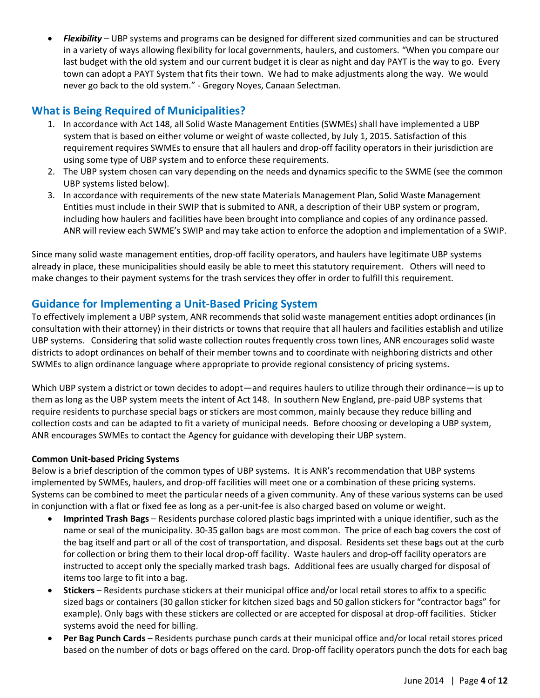Flexibility - UBP systems and programs can be designed for different sized communities and can be structured in a variety of ways allowing flexibility for local governments, haulers, and customers. "When you compare our last budget with the old system and our current budget it is clear as night and day PAYT is the way to go. Every town can adopt a PAYT System that fits their town. We had to make adjustments along the way. We would never go back to the old system." - Gregory Noyes, Canaan Selectman.

# **What is Being Required of Municipalities?**

- 1. In accordance with Act 148, all Solid Waste Management Entities (SWMEs) shall have implemented a UBP system that is based on either volume or weight of waste collected, by July 1, 2015. Satisfaction of this requirement requires SWMEs to ensure that all haulers and drop-off facility operators in their jurisdiction are using some type of UBP system and to enforce these requirements.
- 2. The UBP system chosen can vary depending on the needs and dynamics specific to the SWME (see the common UBP systems listed below).
- 3. In accordance with requirements of the new state Materials Management Plan, Solid Waste Management Entities must include in their SWIP that is submited to ANR, a description of their UBP system or program, including how haulers and facilities have been brought into compliance and copies of any ordinance passed. ANR will review each SWME's SWIP and may take action to enforce the adoption and implementation of a SWIP.

Since many solid waste management entities, drop-off facility operators, and haulers have legitimate UBP systems already in place, these municipalities should easily be able to meet this statutory requirement. Others will need to make changes to their payment systems for the trash services they offer in order to fulfill this requirement.

## **Guidance for Implementing a Unit-Based Pricing System**

To effectively implement a UBP system, ANR recommends that solid waste management entities adopt ordinances (in consultation with their attorney) in their districts or towns that require that all haulers and facilities establish and utilize UBP systems. Considering that solid waste collection routes frequently cross town lines, ANR encourages solid waste districts to adopt ordinances on behalf of their member towns and to coordinate with neighboring districts and other SWMEs to align ordinance language where appropriate to provide regional consistency of pricing systems.

Which UBP system a district or town decides to adopt—and requires haulers to utilize through their ordinance—is up to them as long as the UBP system meets the intent of Act 148. In southern New England, pre-paid UBP systems that require residents to purchase special bags or stickers are most common, mainly because they reduce billing and collection costs and can be adapted to fit a variety of municipal needs. Before choosing or developing a UBP system, ANR encourages SWMEs to contact the Agency for guidance with developing their UBP system.

## **Common Unit-based Pricing Systems**

Below is a brief description of the common types of UBP systems. It is ANR's recommendation that UBP systems implemented by SWMEs, haulers, and drop-off facilities will meet one or a combination of these pricing systems. Systems can be combined to meet the particular needs of a given community. Any of these various systems can be used in conjunction with a flat or fixed fee as long as a per-unit-fee is also charged based on volume or weight.

- x **Imprinted Trash Bags**  Residents purchase colored plastic bags imprinted with a unique identifier, such as the name or seal of the municipality. 30-35 gallon bags are most common. The price of each bag covers the cost of the bag itself and part or all of the cost of transportation, and disposal. Residents set these bags out at the curb for collection or bring them to their local drop-off facility. Waste haulers and drop-off facility operators are instructed to accept only the specially marked trash bags. Additional fees are usually charged for disposal of items too large to fit into a bag.
- x **Stickers** Residents purchase stickers at their municipal office and/or local retail stores to affix to a specific sized bags or containers (30 gallon sticker for kitchen sized bags and 50 gallon stickers for "contractor bags" for example). Only bags with these stickers are collected or are accepted for disposal at drop-off facilities. Sticker systems avoid the need for billing.
- **Per Bag Punch Cards** Residents purchase punch cards at their municipal office and/or local retail stores priced based on the number of dots or bags offered on the card. Drop-off facility operators punch the dots for each bag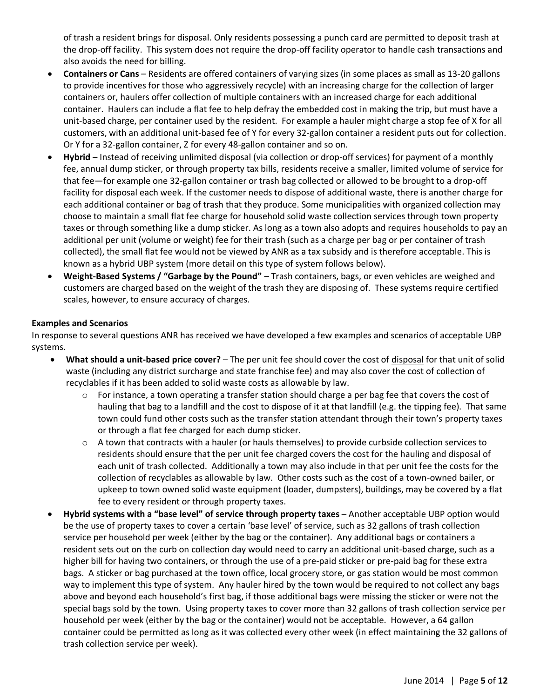of trash a resident brings for disposal. Only residents possessing a punch card are permitted to deposit trash at the drop-off facility. This system does not require the drop-off facility operator to handle cash transactions and also avoids the need for billing.

- x **Containers or Cans** Residents are offered containers of varying sizes (in some places as small as 13-20 gallons to provide incentives for those who aggressively recycle) with an increasing charge for the collection of larger containers or, haulers offer collection of multiple containers with an increased charge for each additional container. Haulers can include a flat fee to help defray the embedded cost in making the trip, but must have a unit-based charge, per container used by the resident. For example a hauler might charge a stop fee of X for all customers, with an additional unit-based fee of Y for every 32-gallon container a resident puts out for collection. Or Y for a 32-gallon container, Z for every 48-gallon container and so on.
- Hybrid Instead of receiving unlimited disposal (via collection or drop-off services) for payment of a monthly fee, annual dump sticker, or through property tax bills, residents receive a smaller, limited volume of service for that fee—for example one 32-gallon container or trash bag collected or allowed to be brought to a drop-off facility for disposal each week. If the customer needs to dispose of additional waste, there is another charge for each additional container or bag of trash that they produce. Some municipalities with organized collection may choose to maintain a small flat fee charge for household solid waste collection services through town property taxes or through something like a dump sticker. As long as a town also adopts and requires households to pay an additional per unit (volume or weight) fee for their trash (such as a charge per bag or per container of trash collected), the small flat fee would not be viewed by ANR as a tax subsidy and is therefore acceptable. This is known as a hybrid UBP system (more detail on this type of system follows below).
- x **Weight-Based Systems / "Garbage by the Pound"** Trash containers, bags, or even vehicles are weighed and customers are charged based on the weight of the trash they are disposing of. These systems require certified scales, however, to ensure accuracy of charges.

#### **Examples and Scenarios**

In response to several questions ANR has received we have developed a few examples and scenarios of acceptable UBP systems.

- x **What should a unit-based price cover?** The per unit fee should cover the cost of disposal for that unit of solid waste (including any district surcharge and state franchise fee) and may also cover the cost of collection of recyclables if it has been added to solid waste costs as allowable by law.
	- $\circ$  For instance, a town operating a transfer station should charge a per bag fee that covers the cost of hauling that bag to a landfill and the cost to dispose of it at that landfill (e.g. the tipping fee). That same town could fund other costs such as the transfer station attendant through their town's property taxes or through a flat fee charged for each dump sticker.
	- o A town that contracts with a hauler (or hauls themselves) to provide curbside collection services to residents should ensure that the per unit fee charged covers the cost for the hauling and disposal of each unit of trash collected. Additionally a town may also include in that per unit fee the costs for the collection of recyclables as allowable by law. Other costs such as the cost of a town-owned bailer, or upkeep to town owned solid waste equipment (loader, dumpsters), buildings, may be covered by a flat fee to every resident or through property taxes.
- x **Hybrid systems with a "base level" of service through property taxes** Another acceptable UBP option would be the use of property taxes to cover a certain 'base level' of service, such as 32 gallons of trash collection service per household per week (either by the bag or the container). Any additional bags or containers a resident sets out on the curb on collection day would need to carry an additional unit-based charge, such as a higher bill for having two containers, or through the use of a pre-paid sticker or pre-paid bag for these extra bags. A sticker or bag purchased at the town office, local grocery store, or gas station would be most common way to implement this type of system. Any hauler hired by the town would be required to not collect any bags above and beyond each household's first bag, if those additional bags were missing the sticker or were not the special bags sold by the town. Using property taxes to cover more than 32 gallons of trash collection service per household per week (either by the bag or the container) would not be acceptable. However, a 64 gallon container could be permitted as long as it was collected every other week (in effect maintaining the 32 gallons of trash collection service per week).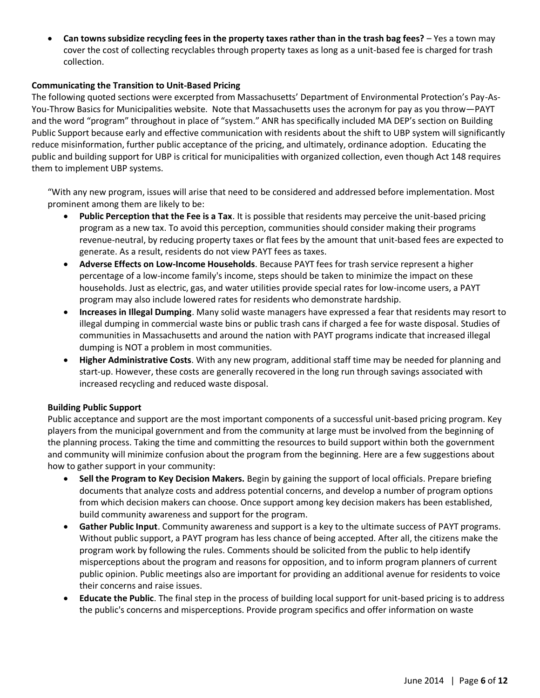x **Can towns subsidize recycling fees in the property taxes rather than in the trash bag fees?** – Yes a town may cover the cost of collecting recyclables through property taxes as long as a unit-based fee is charged for trash collection.

#### **Communicating the Transition to Unit-Based Pricing**

The following quoted sections were excerpted from Massachusetts' Department of Environmental Protection's Pay-As-You-Throw Basics for Municipalities website. Note that Massachusetts uses the acronym for pay as you throw—PAYT and the word "program" throughout in place of "system." ANR has specifically included MA DEP's section on Building Public Support because early and effective communication with residents about the shift to UBP system will significantly reduce misinformation, further public acceptance of the pricing, and ultimately, ordinance adoption. Educating the public and building support for UBP is critical for municipalities with organized collection, even though Act 148 requires them to implement UBP systems.

"With any new program, issues will arise that need to be considered and addressed before implementation. Most prominent among them are likely to be:

- **Public Perception that the Fee is a Tax**. It is possible that residents may perceive the unit-based pricing program as a new tax. To avoid this perception, communities should consider making their programs revenue-neutral, by reducing property taxes or flat fees by the amount that unit-based fees are expected to generate. As a result, residents do not view PAYT fees as taxes.
- **Adverse Effects on Low-Income Households**. Because PAYT fees for trash service represent a higher percentage of a low-income family's income, steps should be taken to minimize the impact on these households. Just as electric, gas, and water utilities provide special rates for low-income users, a PAYT program may also include lowered rates for residents who demonstrate hardship.
- **Increases in Illegal Dumping**. Many solid waste managers have expressed a fear that residents may resort to illegal dumping in commercial waste bins or public trash cans if charged a fee for waste disposal. Studies of communities in Massachusetts and around the nation with PAYT programs indicate that increased illegal dumping is NOT a problem in most communities.
- x **Higher Administrative Costs**. With any new program, additional staff time may be needed for planning and start-up. However, these costs are generally recovered in the long run through savings associated with increased recycling and reduced waste disposal.

#### **Building Public Support**

Public acceptance and support are the most important components of a successful unit-based pricing program. Key players from the municipal government and from the community at large must be involved from the beginning of the planning process. Taking the time and committing the resources to build support within both the government and community will minimize confusion about the program from the beginning. Here are a few suggestions about how to gather support in your community:

- **Sell the Program to Key Decision Makers.** Begin by gaining the support of local officials. Prepare briefing documents that analyze costs and address potential concerns, and develop a number of program options from which decision makers can choose. Once support among key decision makers has been established, build community awareness and support for the program.
- **Gather Public Input**. Community awareness and support is a key to the ultimate success of PAYT programs. Without public support, a PAYT program has less chance of being accepted. After all, the citizens make the program work by following the rules. Comments should be solicited from the public to help identify misperceptions about the program and reasons for opposition, and to inform program planners of current public opinion. Public meetings also are important for providing an additional avenue for residents to voice their concerns and raise issues.
- **Educate the Public**. The final step in the process of building local support for unit-based pricing is to address the public's concerns and misperceptions. Provide program specifics and offer information on waste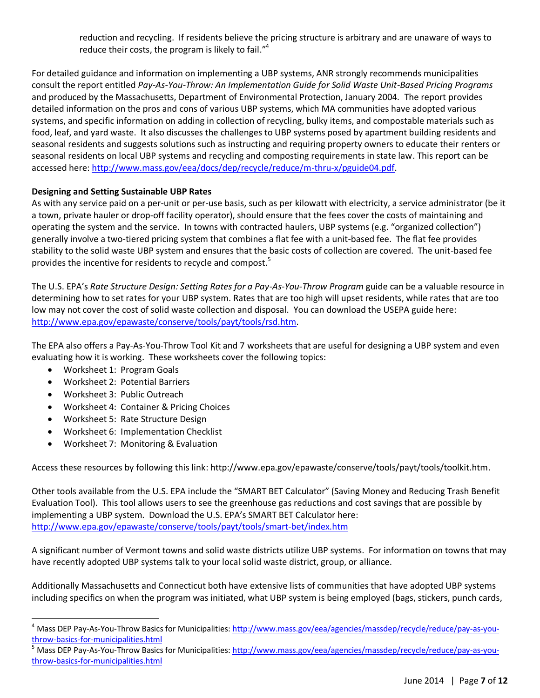reduction and recycling. If residents believe the pricing structure is arbitrary and are unaware of ways to reduce their costs, the program is likely to fail."<sup>4</sup>

For detailed guidance and information on implementing a UBP systems, ANR strongly recommends municipalities consult the report entitled *Pay-As-You-Throw: An Implementation Guide for Solid Waste Unit-Based Pricing Programs* and produced by the Massachusetts, Department of Environmental Protection, January 2004. The report provides detailed information on the pros and cons of various UBP systems, which MA communities have adopted various systems, and specific information on adding in collection of recycling, bulky items, and compostable materials such as food, leaf, and yard waste. It also discusses the challenges to UBP systems posed by apartment building residents and seasonal residents and suggests solutions such as instructing and requiring property owners to educate their renters or seasonal residents on local UBP systems and recycling and composting requirements in state law. This report can be accessed here: [http://www.mass.gov/eea/docs/dep/recycle/reduce/m-thru-x/pguide04.pdf.](http://www.mass.gov/eea/docs/dep/recycle/reduce/m-thru-x/pguide04.pdf)

### **Designing and Setting Sustainable UBP Rates**

As with any service paid on a per-unit or per-use basis, such as per kilowatt with electricity, a service administrator (be it a town, private hauler or drop-off facility operator), should ensure that the fees cover the costs of maintaining and operating the system and the service. In towns with contracted haulers, UBP systems (e.g. "organized collection") generally involve a two-tiered pricing system that combines a flat fee with a unit-based fee. The flat fee provides stability to the solid waste UBP system and ensures that the basic costs of collection are covered. The unit-based fee provides the incentive for residents to recycle and compost.<sup>5</sup>

The U.S. EPA's *Rate Structure Design: Setting Rates for a Pay-As-You-Throw Program* guide can be a valuable resource in determining how to set rates for your UBP system. Rates that are too high will upset residents, while rates that are too low may not cover the cost of solid waste collection and disposal. You can download the USEPA guide here: [http://www.epa.gov/epawaste/conserve/tools/payt/tools/rsd.htm.](http://www.epa.gov/epawaste/conserve/tools/payt/tools/rsd.htm)

The EPA also offers a Pay-As-You-Throw Tool Kit and 7 worksheets that are useful for designing a UBP system and even evaluating how it is working. These worksheets cover the following topics:

- Worksheet 1: Program Goals
- x Worksheet 2: Potential Barriers
- x Worksheet 3: Public Outreach
- x Worksheet 4: Container & Pricing Choices
- Worksheet 5: Rate Structure Design
- Worksheet 6: Implementation Checklist
- x Worksheet 7: Monitoring & Evaluation

Access these resources by following this link: http://www.epa.gov/epawaste/conserve/tools/payt/tools/toolkit.htm.

Other tools available from the U.S. EPA include the "SMART BET Calculator" (Saving Money and Reducing Trash Benefit Evaluation Tool). This tool allows users to see the greenhouse gas reductions and cost savings that are possible by implementing a UBP system. Download the U.S. EPA's SMART BET Calculator here: <http://www.epa.gov/epawaste/conserve/tools/payt/tools/smart-bet/index.htm>

A significant number of Vermont towns and solid waste districts utilize UBP systems. For information on towns that may have recently adopted UBP systems talk to your local solid waste district, group, or alliance.

Additionally Massachusetts and Connecticut both have extensive lists of communities that have adopted UBP systems including specifics on when the program was initiated, what UBP system is being employed (bags, stickers, punch cards,

<sup>&</sup>lt;sup>4</sup> Mass DEP Pay-As-You-Throw Basics for Municipalities[: http://www.mass.gov/eea/agencies/massdep/recycle/reduce/pay-as-you](http://www.mass.gov/eea/agencies/massdep/recycle/reduce/pay-as-you-throw-basics-for-municipalities.html)[throw-basics-for-municipalities.html](http://www.mass.gov/eea/agencies/massdep/recycle/reduce/pay-as-you-throw-basics-for-municipalities.html)<br><sup>5</sup> Mass DEP Pay-As-You-Throw Basics for Municipalities: <u>http://www.mass.gov/eea/agencies/massdep/recycle/reduce/pay-as-you-</u>

[throw-basics-for-municipalities.html](http://www.mass.gov/eea/agencies/massdep/recycle/reduce/pay-as-you-throw-basics-for-municipalities.html)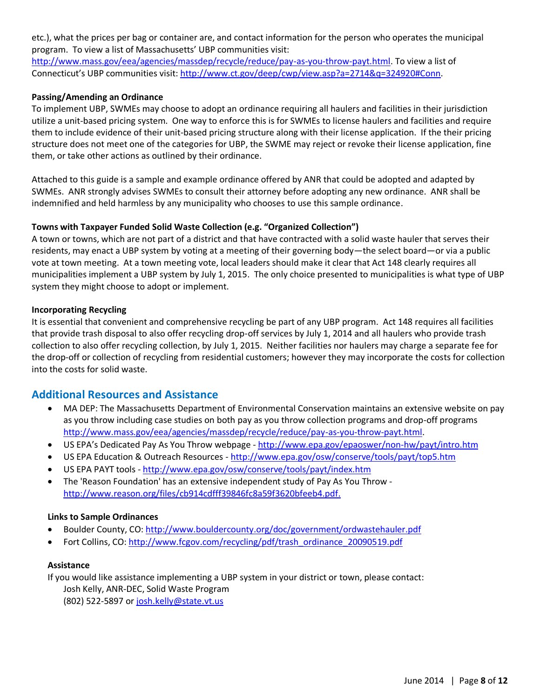etc.), what the prices per bag or container are, and contact information for the person who operates the municipal program. To view a list of Massachusetts' UBP communities visit:

[http://www.mass.gov/eea/agencies/massdep/recycle/reduce/pay-as-you-throw-payt.html.](http://www.mass.gov/eea/agencies/massdep/recycle/reduce/pay-as-you-throw-payt.html) To view a list of Connecticut's UBP communities visit: [http://www.ct.gov/deep/cwp/view.asp?a=2714&q=324920#Conn.](http://www.ct.gov/deep/cwp/view.asp?a=2714&q=324920#Conn)

#### **Passing/Amending an Ordinance**

To implement UBP, SWMEs may choose to adopt an ordinance requiring all haulers and facilities in their jurisdiction utilize a unit-based pricing system. One way to enforce this is for SWMEs to license haulers and facilities and require them to include evidence of their unit-based pricing structure along with their license application. If the their pricing structure does not meet one of the categories for UBP, the SWME may reject or revoke their license application, fine them, or take other actions as outlined by their ordinance.

Attached to this guide is a sample and example ordinance offered by ANR that could be adopted and adapted by SWMEs. ANR strongly advises SWMEs to consult their attorney before adopting any new ordinance. ANR shall be indemnified and held harmless by any municipality who chooses to use this sample ordinance.

#### **Towns with Taxpayer Funded Solid Waste Collection (e.g. "Organized Collection")**

A town or towns, which are not part of a district and that have contracted with a solid waste hauler that serves their residents, may enact a UBP system by voting at a meeting of their governing body—the select board—or via a public vote at town meeting. At a town meeting vote, local leaders should make it clear that Act 148 clearly requires all municipalities implement a UBP system by July 1, 2015. The only choice presented to municipalities is what type of UBP system they might choose to adopt or implement.

#### **Incorporating Recycling**

It is essential that convenient and comprehensive recycling be part of any UBP program. Act 148 requires all facilities that provide trash disposal to also offer recycling drop-off services by July 1, 2014 and all haulers who provide trash collection to also offer recycling collection, by July 1, 2015. Neither facilities nor haulers may charge a separate fee for the drop-off or collection of recycling from residential customers; however they may incorporate the costs for collection into the costs for solid waste.

## **Additional Resources and Assistance**

- MA DEP: The Massachusetts Department of Environmental Conservation maintains an extensive website on pay as you throw including case studies on both pay as you throw collection programs and drop-off programs [http://www.mass.gov/eea/agencies/massdep/recycle/reduce/pay-as-you-throw-payt.html.](http://www.mass.gov/eea/agencies/massdep/recycle/reduce/pay-as-you-throw-payt.html)
- US EPA's Dedicated Pay As You Throw webpage <http://www.epa.gov/epaoswer/non-hw/payt/intro.htm>
- US EPA Education & Outreach Resources <http://www.epa.gov/osw/conserve/tools/payt/top5.htm>
- x US EPA PAYT tools <http://www.epa.gov/osw/conserve/tools/payt/index.htm>
- The 'Reason Foundation' has an extensive independent study of Pay As You Throw [http://www.reason.org/files/cb914cdfff39846fc8a59f3620bfeeb4.pdf.](http://www.reason.org/files/cb914cdfff39846fc8a59f3620bfeeb4.pdf)

#### **Links to Sample Ordinances**

- x Boulder County, CO:<http://www.bouldercounty.org/doc/government/ordwastehauler.pdf>
- Fort Collins, CO: [http://www.fcgov.com/recycling/pdf/trash\\_ordinance\\_20090519.pdf](http://www.fcgov.com/recycling/pdf/trash_ordinance_20090519.pdf)

#### **Assistance**

If you would like assistance implementing a UBP system in your district or town, please contact: Josh Kelly, ANR-DEC, Solid Waste Program (802) 522-5897 or [josh.kelly@state.vt.us](mailto:josh.kelly@state.vt.us)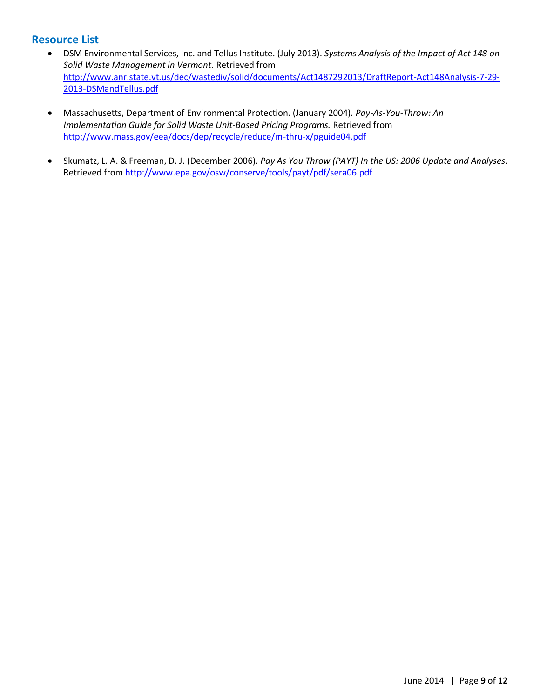## **Resource List**

- x DSM Environmental Services, Inc. and Tellus Institute. (July 2013). *Systems Analysis of the Impact of Act 148 on Solid Waste Management in Vermont*. Retrieved from [http://www.anr.state.vt.us/dec/wastediv/solid/documents/Act1487292013/DraftReport-Act148Analysis-7-29-](http://www.anr.state.vt.us/dec/wastediv/solid/documents/Act1487292013/DraftReport-Act148Analysis-7-29-2013-DSMandTellus.pdf) [2013-DSMandTellus.pdf](http://www.anr.state.vt.us/dec/wastediv/solid/documents/Act1487292013/DraftReport-Act148Analysis-7-29-2013-DSMandTellus.pdf)
- x Massachusetts, Department of Environmental Protection. (January 2004). *Pay-As-You-Throw: An Implementation Guide for Solid Waste Unit-Based Pricing Programs.* Retrieved from <http://www.mass.gov/eea/docs/dep/recycle/reduce/m-thru-x/pguide04.pdf>
- x Skumatz, L. A. & Freeman, D. J. (December 2006). *Pay As You Throw (PAYT) In the US: 2006 Update and Analyses*. Retrieved from<http://www.epa.gov/osw/conserve/tools/payt/pdf/sera06.pdf>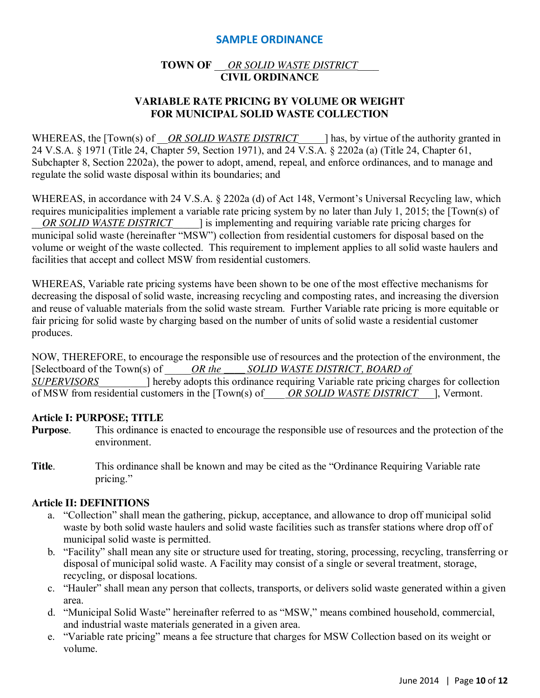## **SAMPLE ORDINANCE**

## **TOWN OF** \_\_ *OR SOLID WASTE DISTRICT*\_\_\_\_ **CIVIL ORDINANCE**

## **VARIABLE RATE PRICING BY VOLUME OR WEIGHT FOR MUNICIPAL SOLID WASTE COLLECTION**

WHEREAS, the [Town(s) of *OR SOLID WASTE DISTRICT* lhas, by virtue of the authority granted in 24 V.S.A. § 1971 (Title 24, Chapter 59, Section 1971), and 24 V.S.A. § 2202a (a) (Title 24, Chapter 61, Subchapter 8, Section 2202a), the power to adopt, amend, repeal, and enforce ordinances, and to manage and regulate the solid waste disposal within its boundaries; and

WHEREAS, in accordance with 24 V.S.A. § 2202a (d) of Act 148, Vermont's Universal Recycling law, which requires municipalities implement a variable rate pricing system by no later than July 1, 2015; the [Town(s) of *OR SOLID WASTE DISTRICT* is implementing and requiring variable rate pricing charges for municipal solid waste (hereinafter "MSW") collection from residential customers for disposal based on the volume or weight of the waste collected. This requirement to implement applies to all solid waste haulers and facilities that accept and collect MSW from residential customers.

WHEREAS, Variable rate pricing systems have been shown to be one of the most effective mechanisms for decreasing the disposal of solid waste, increasing recycling and composting rates, and increasing the diversion and reuse of valuable materials from the solid waste stream. Further Variable rate pricing is more equitable or fair pricing for solid waste by charging based on the number of units of solid waste a residential customer produces.

NOW, THEREFORE, to encourage the responsible use of resources and the protection of the environment, the [Selectboard of the Town(s) of \_\_\_\_\_*OR the \_\_\_\_ SOLID WASTE DISTRICT, BOARD of SUPERVISORS* and all hereby adopts this ordinance requiring Variable rate pricing charges for collection of MSW from residential customers in the [Town(s) of\_\_\_\_ *OR SOLID WASTE DISTRICT*\_\_\_], Vermont.

## **Article I: PURPOSE; TITLE**

- **Purpose**. This ordinance is enacted to encourage the responsible use of resources and the protection of the environment.
- **Title**. This ordinance shall be known and may be cited as the "Ordinance Requiring Variable rate pricing."

## **Article II: DEFINITIONS**

- a. "Collection" shall mean the gathering, pickup, acceptance, and allowance to drop off municipal solid waste by both solid waste haulers and solid waste facilities such as transfer stations where drop off of municipal solid waste is permitted.
- b. "Facility" shall mean any site or structure used for treating, storing, processing, recycling, transferring or disposal of municipal solid waste. A Facility may consist of a single or several treatment, storage, recycling, or disposal locations.
- c. "Hauler" shall mean any person that collects, transports, or delivers solid waste generated within a given area.
- d. "Municipal Solid Waste" hereinafter referred to as "MSW," means combined household, commercial, and industrial waste materials generated in a given area.
- e. "Variable rate pricing" means a fee structure that charges for MSW Collection based on its weight or volume.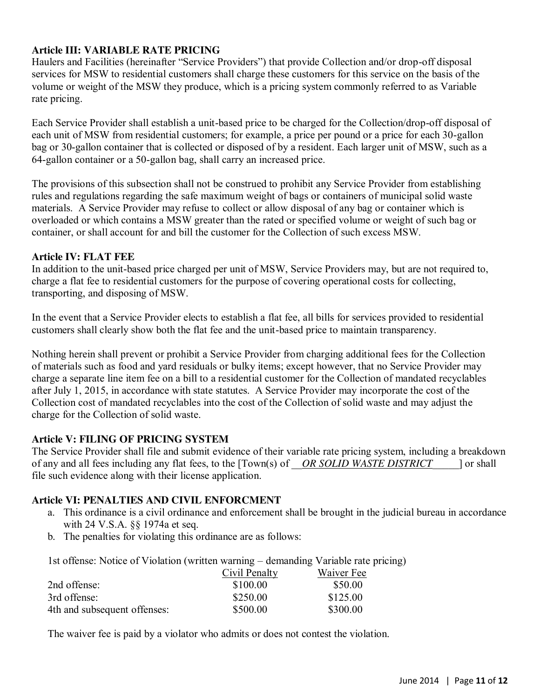## **Article III: VARIABLE RATE PRICING**

Haulers and Facilities (hereinafter "Service Providers") that provide Collection and/or drop-off disposal services for MSW to residential customers shall charge these customers for this service on the basis of the volume or weight of the MSW they produce, which is a pricing system commonly referred to as Variable rate pricing.

Each Service Provider shall establish a unit-based price to be charged for the Collection/drop-off disposal of each unit of MSW from residential customers; for example, a price per pound or a price for each 30-gallon bag or 30-gallon container that is collected or disposed of by a resident. Each larger unit of MSW, such as a 64-gallon container or a 50-gallon bag, shall carry an increased price.

The provisions of this subsection shall not be construed to prohibit any Service Provider from establishing rules and regulations regarding the safe maximum weight of bags or containers of municipal solid waste materials. A Service Provider may refuse to collect or allow disposal of any bag or container which is overloaded or which contains a MSW greater than the rated or specified volume or weight of such bag or container, or shall account for and bill the customer for the Collection of such excess MSW.

## **Article IV: FLAT FEE**

In addition to the unit-based price charged per unit of MSW, Service Providers may, but are not required to, charge a flat fee to residential customers for the purpose of covering operational costs for collecting, transporting, and disposing of MSW.

In the event that a Service Provider elects to establish a flat fee, all bills for services provided to residential customers shall clearly show both the flat fee and the unit-based price to maintain transparency.

Nothing herein shall prevent or prohibit a Service Provider from charging additional fees for the Collection of materials such as food and yard residuals or bulky items; except however, that no Service Provider may charge a separate line item fee on a bill to a residential customer for the Collection of mandated recyclables after July 1, 2015, in accordance with state statutes. A Service Provider may incorporate the cost of the Collection cost of mandated recyclables into the cost of the Collection of solid waste and may adjust the charge for the Collection of solid waste.

## **Article V: FILING OF PRICING SYSTEM**

The Service Provider shall file and submit evidence of their variable rate pricing system, including a breakdown of any and all fees including any flat fees, to the [Town(s) of \_\_*OR SOLID WASTE DISTRICT*\_\_\_\_\_] or shall file such evidence along with their license application.

## **Article VI: PENALTIES AND CIVIL ENFORCMENT**

- a. This ordinance is a civil ordinance and enforcement shall be brought in the judicial bureau in accordance with 24 V.S.A. §§ 1974a et seq.
- b. The penalties for violating this ordinance are as follows:

1st offense: Notice of Violation (written warning – demanding Variable rate pricing)

|                              | Civil Penalty | Waiver Fee |
|------------------------------|---------------|------------|
| 2nd offense:                 | \$100.00      | \$50.00    |
| 3rd offense:                 | \$250.00      | \$125.00   |
| 4th and subsequent offenses: | \$500.00      | \$300.00   |

The waiver fee is paid by a violator who admits or does not contest the violation.